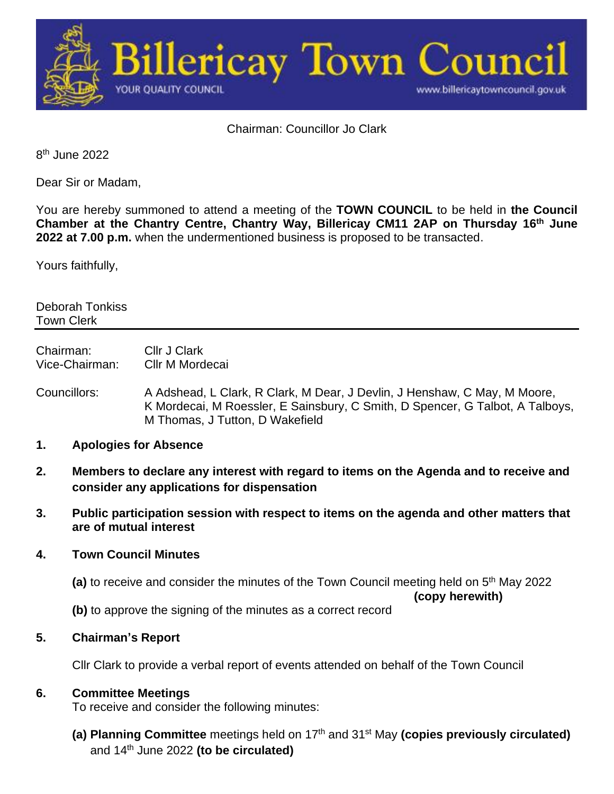

Chairman: Councillor Jo Clark

8<sup>th</sup> June 2022

Dear Sir or Madam,

You are hereby summoned to attend a meeting of the **TOWN COUNCIL** to be held in **the Council Chamber at the Chantry Centre, Chantry Way, Billericay CM11 2AP on Thursday 16th June 2022 at 7.00 p.m.** when the undermentioned business is proposed to be transacted.

Yours faithfully,

Deborah Tonkiss Town Clerk

Chairman: Cllr J Clark Vice-Chairman: Cllr M Mordecai

- Councillors: A Adshead, L Clark, R Clark, M Dear, J Devlin, J Henshaw, C May, M Moore, K Mordecai, M Roessler, E Sainsbury, C Smith, D Spencer, G Talbot, A Talboys, M Thomas, J Tutton, D Wakefield
- **1. Apologies for Absence**
- **2. Members to declare any interest with regard to items on the Agenda and to receive and consider any applications for dispensation**
- **3. Public participation session with respect to items on the agenda and other matters that are of mutual interest**

## **4. Town Council Minutes**

(a) to receive and consider the minutes of the Town Council meeting held on 5<sup>th</sup> May 2022

**(copy herewith)**

**(b)** to approve the signing of the minutes as a correct record

## **5. Chairman's Report**

Cllr Clark to provide a verbal report of events attended on behalf of the Town Council

## **6. Committee Meetings**

To receive and consider the following minutes:

**(a) Planning Committee** meetings held on 17th and 31st May **(copies previously circulated)** and 14th June 2022 **(to be circulated)**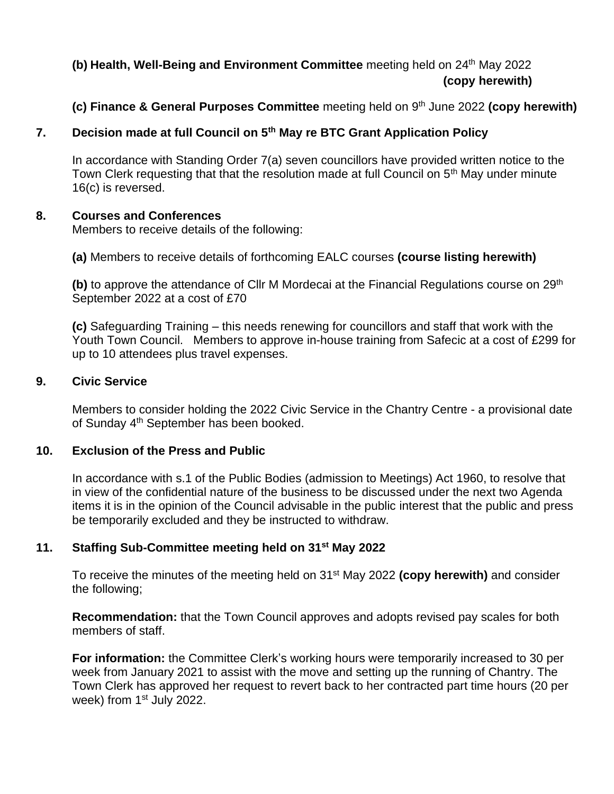# **(b)** Health, Well-Being and Environment Committee meeting held on 24<sup>th</sup> May 2022 **(copy herewith)**

## **(c) Finance & General Purposes Committee** meeting held on 9 th June 2022 **(copy herewith)**

## **7. Decision made at full Council on 5th May re BTC Grant Application Policy**

In accordance with Standing Order 7(a) seven councillors have provided written notice to the Town Clerk requesting that that the resolution made at full Council on 5<sup>th</sup> May under minute 16(c) is reversed.

#### **8. Courses and Conferences**

Members to receive details of the following:

**(a)** Members to receive details of forthcoming EALC courses **(course listing herewith)**

**(b)** to approve the attendance of Cllr M Mordecai at the Financial Regulations course on 29th September 2022 at a cost of £70

**(c)** Safeguarding Training – this needs renewing for councillors and staff that work with the Youth Town Council. Members to approve in-house training from Safecic at a cost of £299 for up to 10 attendees plus travel expenses.

#### **9. Civic Service**

Members to consider holding the 2022 Civic Service in the Chantry Centre - a provisional date of Sunday 4<sup>th</sup> September has been booked.

## **10. Exclusion of the Press and Public**

In accordance with s.1 of the Public Bodies (admission to Meetings) Act 1960, to resolve that in view of the confidential nature of the business to be discussed under the next two Agenda items it is in the opinion of the Council advisable in the public interest that the public and press be temporarily excluded and they be instructed to withdraw.

## **11. Staffing Sub-Committee meeting held on 31st May 2022**

To receive the minutes of the meeting held on 31st May 2022 **(copy herewith)** and consider the following;

**Recommendation:** that the Town Council approves and adopts revised pay scales for both members of staff.

**For information:** the Committee Clerk's working hours were temporarily increased to 30 per week from January 2021 to assist with the move and setting up the running of Chantry. The Town Clerk has approved her request to revert back to her contracted part time hours (20 per week) from 1<sup>st</sup> July 2022.